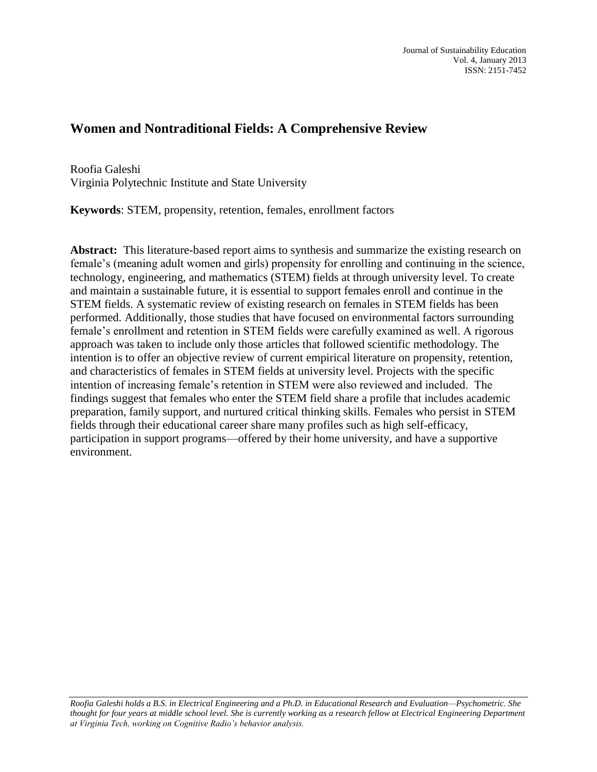# **Women and Nontraditional Fields: A Comprehensive Review**

Roofia Galeshi Virginia Polytechnic Institute and State University

**Keywords**: STEM, propensity, retention, females, enrollment factors

**Abstract:** This literature-based report aims to synthesis and summarize the existing research on female's (meaning adult women and girls) propensity for enrolling and continuing in the science, technology, engineering, and mathematics (STEM) fields at through university level. To create and maintain a sustainable future, it is essential to support females enroll and continue in the STEM fields. A systematic review of existing research on females in STEM fields has been performed. Additionally, those studies that have focused on environmental factors surrounding female's enrollment and retention in STEM fields were carefully examined as well. A rigorous approach was taken to include only those articles that followed scientific methodology. The intention is to offer an objective review of current empirical literature on propensity, retention, and characteristics of females in STEM fields at university level. Projects with the specific intention of increasing female's retention in STEM were also reviewed and included. The findings suggest that females who enter the STEM field share a profile that includes academic preparation, family support, and nurtured critical thinking skills. Females who persist in STEM fields through their educational career share many profiles such as high self-efficacy, participation in support programs—offered by their home university, and have a supportive environment.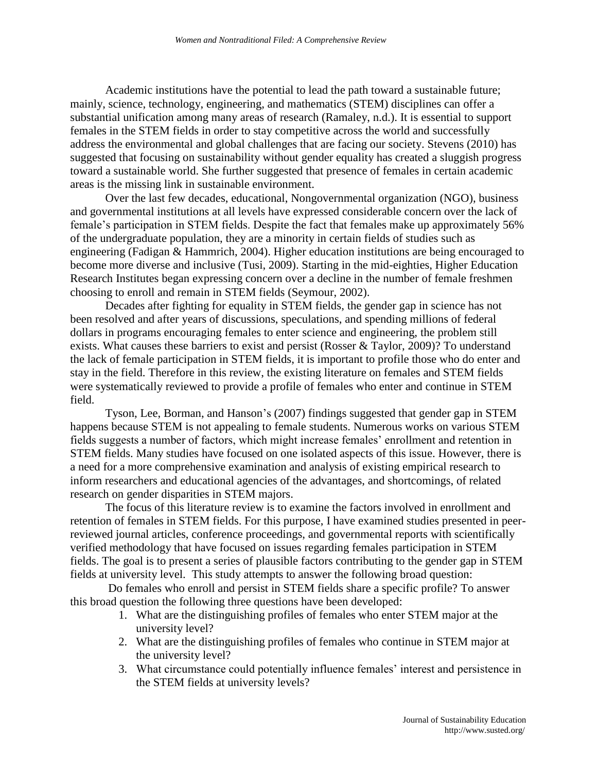Academic institutions have the potential to lead the path toward a sustainable future; mainly, science, technology, engineering, and mathematics (STEM) disciplines can offer a substantial unification among many areas of research (Ramaley, n.d.). It is essential to support females in the STEM fields in order to stay competitive across the world and successfully address the environmental and global challenges that are facing our society. Stevens (2010) has suggested that focusing on sustainability without gender equality has created a sluggish progress toward a sustainable world. She further suggested that presence of females in certain academic areas is the missing link in sustainable environment.

Over the last few decades, educational, Nongovernmental organization (NGO), business and governmental institutions at all levels have expressed considerable concern over the lack of female's participation in STEM fields. Despite the fact that females make up approximately 56% of the undergraduate population, they are a minority in certain fields of studies such as engineering (Fadigan & Hammrich, 2004). Higher education institutions are being encouraged to become more diverse and inclusive (Tusi, 2009). Starting in the mid-eighties, Higher Education Research Institutes began expressing concern over a decline in the number of female freshmen choosing to enroll and remain in STEM fields (Seymour, 2002).

Decades after fighting for equality in STEM fields, the gender gap in science has not been resolved and after years of discussions, speculations, and spending millions of federal dollars in programs encouraging females to enter science and engineering, the problem still exists. What causes these barriers to exist and persist (Rosser & Taylor, 2009)? To understand the lack of female participation in STEM fields, it is important to profile those who do enter and stay in the field. Therefore in this review, the existing literature on females and STEM fields were systematically reviewed to provide a profile of females who enter and continue in STEM field.

Tyson, Lee, Borman, and Hanson's (2007) findings suggested that gender gap in STEM happens because STEM is not appealing to female students. Numerous works on various STEM fields suggests a number of factors, which might increase females' enrollment and retention in STEM fields. Many studies have focused on one isolated aspects of this issue. However, there is a need for a more comprehensive examination and analysis of existing empirical research to inform researchers and educational agencies of the advantages, and shortcomings, of related research on gender disparities in STEM majors.

The focus of this literature review is to examine the factors involved in enrollment and retention of females in STEM fields. For this purpose, I have examined studies presented in peerreviewed journal articles, conference proceedings, and governmental reports with scientifically verified methodology that have focused on issues regarding females participation in STEM fields. The goal is to present a series of plausible factors contributing to the gender gap in STEM fields at university level. This study attempts to answer the following broad question:

Do females who enroll and persist in STEM fields share a specific profile? To answer this broad question the following three questions have been developed:

- 1. What are the distinguishing profiles of females who enter STEM major at the university level?
- 2. What are the distinguishing profiles of females who continue in STEM major at the university level?
- 3. What circumstance could potentially influence females' interest and persistence in the STEM fields at university levels?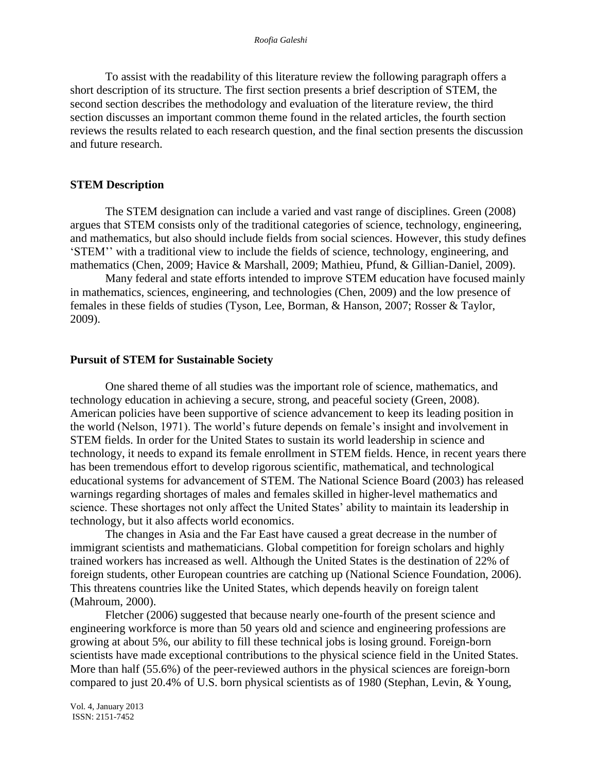To assist with the readability of this literature review the following paragraph offers a short description of its structure. The first section presents a brief description of STEM, the second section describes the methodology and evaluation of the literature review, the third section discusses an important common theme found in the related articles, the fourth section reviews the results related to each research question, and the final section presents the discussion and future research.

### **STEM Description**

The STEM designation can include a varied and vast range of disciplines. Green (2008) argues that STEM consists only of the traditional categories of science, technology, engineering, and mathematics, but also should include fields from social sciences. However, this study defines ‗STEM'' with a traditional view to include the fields of science, technology, engineering, and mathematics (Chen, 2009; Havice & Marshall, 2009; Mathieu, Pfund, & Gillian-Daniel, 2009).

Many federal and state efforts intended to improve STEM education have focused mainly in mathematics, sciences, engineering, and technologies (Chen, 2009) and the low presence of females in these fields of studies (Tyson, Lee, Borman, & Hanson, 2007; Rosser & Taylor, 2009).

### **Pursuit of STEM for Sustainable Society**

One shared theme of all studies was the important role of science, mathematics, and technology education in achieving a secure, strong, and peaceful society (Green, 2008). American policies have been supportive of science advancement to keep its leading position in the world (Nelson, 1971). The world's future depends on female's insight and involvement in STEM fields. In order for the United States to sustain its world leadership in science and technology, it needs to expand its female enrollment in STEM fields. Hence, in recent years there has been tremendous effort to develop rigorous scientific, mathematical, and technological educational systems for advancement of STEM. The National Science Board (2003) has released warnings regarding shortages of males and females skilled in higher-level mathematics and science. These shortages not only affect the United States' ability to maintain its leadership in technology, but it also affects world economics.

The changes in Asia and the Far East have caused a great decrease in the number of immigrant scientists and mathematicians. Global competition for foreign scholars and highly trained workers has increased as well. Although the United States is the destination of 22% of foreign students, other European countries are catching up (National Science Foundation, 2006). This threatens countries like the United States, which depends heavily on foreign talent (Mahroum, 2000).

Fletcher (2006) suggested that because nearly one-fourth of the present science and engineering workforce is more than 50 years old and science and engineering professions are growing at about 5%, our ability to fill these technical jobs is losing ground. Foreign-born scientists have made exceptional contributions to the physical science field in the United States. More than half (55.6%) of the peer-reviewed authors in the physical sciences are foreign-born compared to just 20.4% of U.S. born physical scientists as of 1980 (Stephan, Levin, & Young,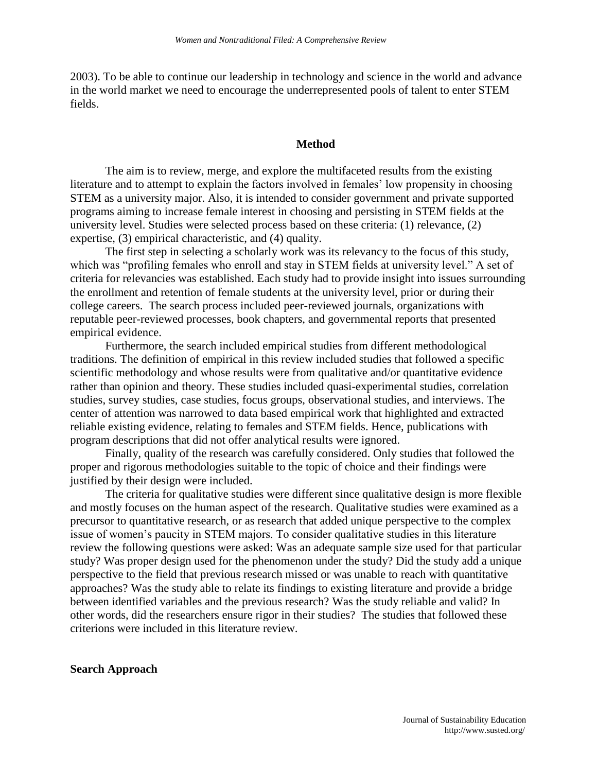2003). To be able to continue our leadership in technology and science in the world and advance in the world market we need to encourage the underrepresented pools of talent to enter STEM fields.

### **Method**

The aim is to review, merge, and explore the multifaceted results from the existing literature and to attempt to explain the factors involved in females' low propensity in choosing STEM as a university major. Also, it is intended to consider government and private supported programs aiming to increase female interest in choosing and persisting in STEM fields at the university level. Studies were selected process based on these criteria: (1) relevance, (2) expertise, (3) empirical characteristic, and (4) quality.

The first step in selecting a scholarly work was its relevancy to the focus of this study, which was "profiling females who enroll and stay in STEM fields at university level." A set of criteria for relevancies was established. Each study had to provide insight into issues surrounding the enrollment and retention of female students at the university level, prior or during their college careers. The search process included peer-reviewed journals, organizations with reputable peer-reviewed processes, book chapters, and governmental reports that presented empirical evidence.

Furthermore, the search included empirical studies from different methodological traditions. The definition of empirical in this review included studies that followed a specific scientific methodology and whose results were from qualitative and/or quantitative evidence rather than opinion and theory. These studies included quasi-experimental studies, correlation studies, survey studies, case studies, focus groups, observational studies, and interviews. The center of attention was narrowed to data based empirical work that highlighted and extracted reliable existing evidence, relating to females and STEM fields. Hence, publications with program descriptions that did not offer analytical results were ignored.

Finally, quality of the research was carefully considered. Only studies that followed the proper and rigorous methodologies suitable to the topic of choice and their findings were justified by their design were included.

The criteria for qualitative studies were different since qualitative design is more flexible and mostly focuses on the human aspect of the research. Qualitative studies were examined as a precursor to quantitative research, or as research that added unique perspective to the complex issue of women's paucity in STEM majors. To consider qualitative studies in this literature review the following questions were asked: Was an adequate sample size used for that particular study? Was proper design used for the phenomenon under the study? Did the study add a unique perspective to the field that previous research missed or was unable to reach with quantitative approaches? Was the study able to relate its findings to existing literature and provide a bridge between identified variables and the previous research? Was the study reliable and valid? In other words, did the researchers ensure rigor in their studies? The studies that followed these criterions were included in this literature review.

#### **Search Approach**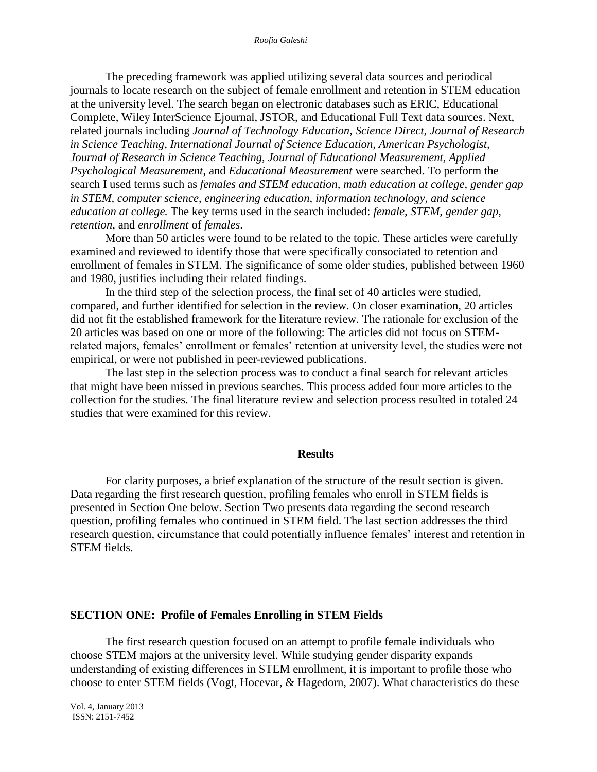The preceding framework was applied utilizing several data sources and periodical journals to locate research on the subject of female enrollment and retention in STEM education at the university level. The search began on electronic databases such as ERIC, Educational Complete, Wiley InterScience Ejournal, JSTOR, and Educational Full Text data sources. Next, related journals including *Journal of Technology Education*, *Science Direct, Journal of Research in Science Teaching, International Journal of Science Education, American Psychologist, Journal of Research in Science Teaching, Journal of Educational Measurement, Applied Psychological Measurement,* and *Educational Measurement* were searched. To perform the search I used terms such as *females and STEM education, math education at college*, *gender gap in STEM, computer science*, *engineering education*, *information technology, and science education at college.* The key terms used in the search included: *female, STEM, gender gap, retention*, and *enrollment* of *females*.

More than 50 articles were found to be related to the topic. These articles were carefully examined and reviewed to identify those that were specifically consociated to retention and enrollment of females in STEM. The significance of some older studies, published between 1960 and 1980, justifies including their related findings.

In the third step of the selection process, the final set of 40 articles were studied, compared, and further identified for selection in the review. On closer examination, 20 articles did not fit the established framework for the literature review. The rationale for exclusion of the 20 articles was based on one or more of the following: The articles did not focus on STEMrelated majors, females' enrollment or females' retention at university level, the studies were not empirical, or were not published in peer-reviewed publications.

The last step in the selection process was to conduct a final search for relevant articles that might have been missed in previous searches. This process added four more articles to the collection for the studies. The final literature review and selection process resulted in totaled 24 studies that were examined for this review.

#### **Results**

For clarity purposes, a brief explanation of the structure of the result section is given. Data regarding the first research question, profiling females who enroll in STEM fields is presented in Section One below. Section Two presents data regarding the second research question, profiling females who continued in STEM field. The last section addresses the third research question, circumstance that could potentially influence females' interest and retention in STEM fields.

#### **SECTION ONE: Profile of Females Enrolling in STEM Fields**

The first research question focused on an attempt to profile female individuals who choose STEM majors at the university level. While studying gender disparity expands understanding of existing differences in STEM enrollment, it is important to profile those who choose to enter STEM fields (Vogt, Hocevar, & Hagedorn, 2007). What characteristics do these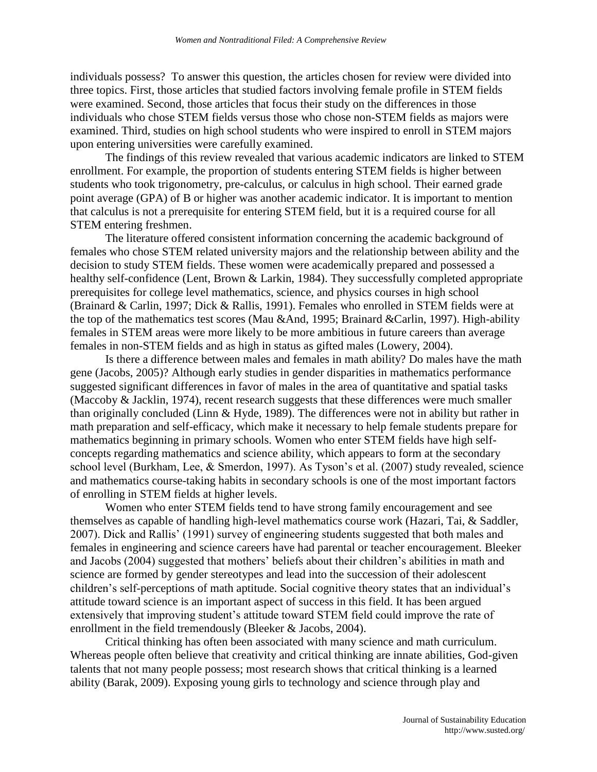individuals possess? To answer this question, the articles chosen for review were divided into three topics. First, those articles that studied factors involving female profile in STEM fields were examined. Second, those articles that focus their study on the differences in those individuals who chose STEM fields versus those who chose non-STEM fields as majors were examined. Third, studies on high school students who were inspired to enroll in STEM majors upon entering universities were carefully examined.

The findings of this review revealed that various academic indicators are linked to STEM enrollment. For example, the proportion of students entering STEM fields is higher between students who took trigonometry, pre-calculus, or calculus in high school. Their earned grade point average (GPA) of B or higher was another academic indicator. It is important to mention that calculus is not a prerequisite for entering STEM field, but it is a required course for all STEM entering freshmen.

The literature offered consistent information concerning the academic background of females who chose STEM related university majors and the relationship between ability and the decision to study STEM fields. These women were academically prepared and possessed a healthy self-confidence (Lent, Brown & Larkin, 1984). They successfully completed appropriate prerequisites for college level mathematics, science, and physics courses in high school (Brainard & Carlin, 1997; Dick & Rallis, 1991). Females who enrolled in STEM fields were at the top of the mathematics test scores (Mau &And, 1995; Brainard &Carlin, 1997). High-ability females in STEM areas were more likely to be more ambitious in future careers than average females in non-STEM fields and as high in status as gifted males (Lowery, 2004).

Is there a difference between males and females in math ability? Do males have the math gene (Jacobs, 2005)? Although early studies in gender disparities in mathematics performance suggested significant differences in favor of males in the area of quantitative and spatial tasks (Maccoby & Jacklin, 1974), recent research suggests that these differences were much smaller than originally concluded (Linn & Hyde, 1989). The differences were not in ability but rather in math preparation and self-efficacy, which make it necessary to help female students prepare for mathematics beginning in primary schools. Women who enter STEM fields have high selfconcepts regarding mathematics and science ability, which appears to form at the secondary school level (Burkham, Lee, & Smerdon, 1997). As Tyson's et al. (2007) study revealed, science and mathematics course-taking habits in secondary schools is one of the most important factors of enrolling in STEM fields at higher levels.

Women who enter STEM fields tend to have strong family encouragement and see themselves as capable of handling high-level mathematics course work (Hazari, Tai, & Saddler, 2007). Dick and Rallis' (1991) survey of engineering students suggested that both males and females in engineering and science careers have had parental or teacher encouragement. Bleeker and Jacobs (2004) suggested that mothers' beliefs about their children's abilities in math and science are formed by gender stereotypes and lead into the succession of their adolescent children's self-perceptions of math aptitude. Social cognitive theory states that an individual's attitude toward science is an important aspect of success in this field. It has been argued extensively that improving student's attitude toward STEM field could improve the rate of enrollment in the field tremendously (Bleeker & Jacobs, 2004).

Critical thinking has often been associated with many science and math curriculum. Whereas people often believe that creativity and critical thinking are innate abilities, God-given talents that not many people possess; most research shows that critical thinking is a learned ability (Barak, 2009). Exposing young girls to technology and science through play and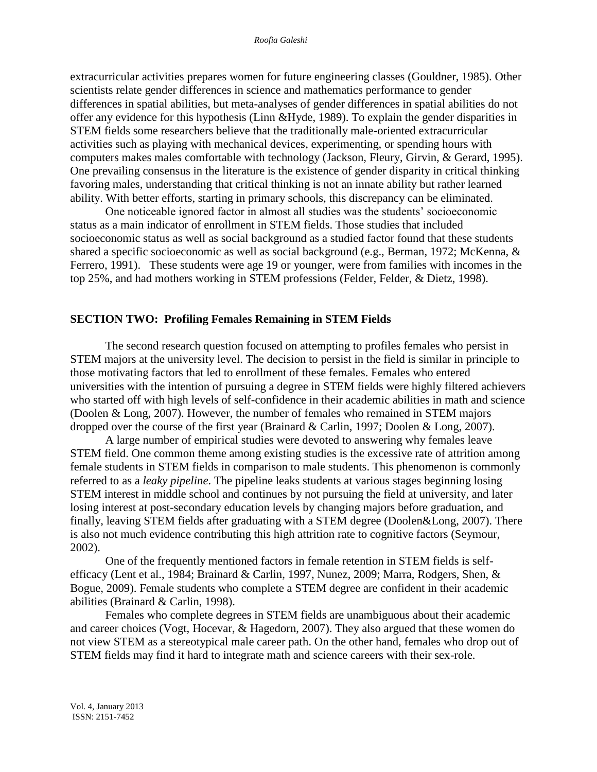extracurricular activities prepares women for future engineering classes (Gouldner, 1985). Other scientists relate gender differences in science and mathematics performance to gender differences in spatial abilities, but meta-analyses of gender differences in spatial abilities do not offer any evidence for this hypothesis (Linn &Hyde, 1989). To explain the gender disparities in STEM fields some researchers believe that the traditionally male-oriented extracurricular activities such as playing with mechanical devices, experimenting, or spending hours with computers makes males comfortable with technology (Jackson, Fleury, Girvin, & Gerard, 1995). One prevailing consensus in the literature is the existence of gender disparity in critical thinking favoring males, understanding that critical thinking is not an innate ability but rather learned ability. With better efforts, starting in primary schools, this discrepancy can be eliminated.

One noticeable ignored factor in almost all studies was the students' socioeconomic status as a main indicator of enrollment in STEM fields. Those studies that included socioeconomic status as well as social background as a studied factor found that these students shared a specific socioeconomic as well as social background (e.g., Berman, 1972; McKenna, & Ferrero, 1991). These students were age 19 or younger, were from families with incomes in the top 25%, and had mothers working in STEM professions (Felder, Felder, & Dietz, 1998).

### **SECTION TWO: Profiling Females Remaining in STEM Fields**

The second research question focused on attempting to profiles females who persist in STEM majors at the university level. The decision to persist in the field is similar in principle to those motivating factors that led to enrollment of these females. Females who entered universities with the intention of pursuing a degree in STEM fields were highly filtered achievers who started off with high levels of self-confidence in their academic abilities in math and science (Doolen & Long, 2007). However, the number of females who remained in STEM majors dropped over the course of the first year (Brainard & Carlin, 1997; Doolen & Long, 2007).

A large number of empirical studies were devoted to answering why females leave STEM field. One common theme among existing studies is the excessive rate of attrition among female students in STEM fields in comparison to male students. This phenomenon is commonly referred to as a *leaky pipeline*. The pipeline leaks students at various stages beginning losing STEM interest in middle school and continues by not pursuing the field at university, and later losing interest at post-secondary education levels by changing majors before graduation, and finally, leaving STEM fields after graduating with a STEM degree (Doolen&Long, 2007). There is also not much evidence contributing this high attrition rate to cognitive factors (Seymour, 2002).

One of the frequently mentioned factors in female retention in STEM fields is selfefficacy (Lent et al., 1984; Brainard & Carlin, 1997, Nunez, 2009; Marra, Rodgers, Shen, & Bogue, 2009). Female students who complete a STEM degree are confident in their academic abilities (Brainard & Carlin, 1998).

Females who complete degrees in STEM fields are unambiguous about their academic and career choices (Vogt, Hocevar, & Hagedorn, 2007). They also argued that these women do not view STEM as a stereotypical male career path. On the other hand, females who drop out of STEM fields may find it hard to integrate math and science careers with their sex-role.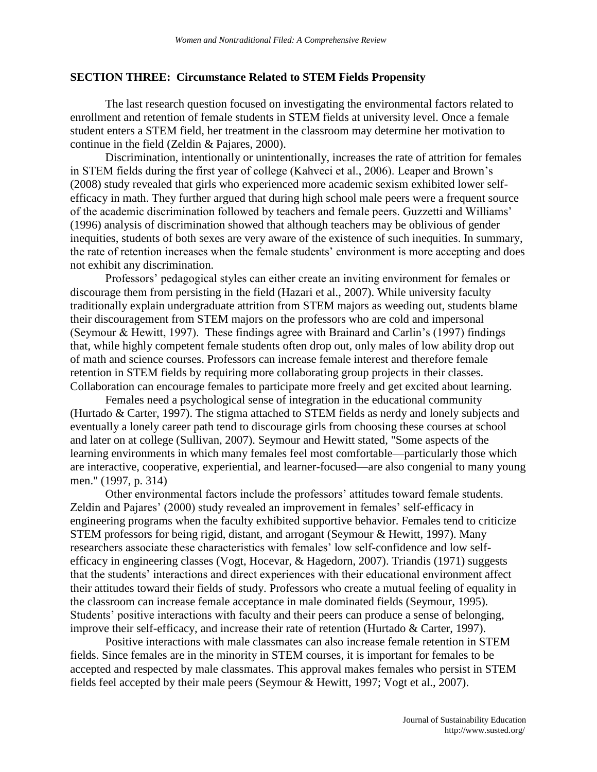### **SECTION THREE: Circumstance Related to STEM Fields Propensity**

The last research question focused on investigating the environmental factors related to enrollment and retention of female students in STEM fields at university level. Once a female student enters a STEM field, her treatment in the classroom may determine her motivation to continue in the field (Zeldin & Pajares, 2000).

Discrimination, intentionally or unintentionally, increases the rate of attrition for females in STEM fields during the first year of college (Kahveci et al., 2006). Leaper and Brown's (2008) study revealed that girls who experienced more academic sexism exhibited lower selfefficacy in math. They further argued that during high school male peers were a frequent source of the academic discrimination followed by teachers and female peers. Guzzetti and Williams' (1996) analysis of discrimination showed that although teachers may be oblivious of gender inequities, students of both sexes are very aware of the existence of such inequities. In summary, the rate of retention increases when the female students' environment is more accepting and does not exhibit any discrimination.

Professors' pedagogical styles can either create an inviting environment for females or discourage them from persisting in the field (Hazari et al., 2007). While university faculty traditionally explain undergraduate attrition from STEM majors as weeding out, students blame their discouragement from STEM majors on the professors who are cold and impersonal (Seymour & Hewitt, 1997). These findings agree with Brainard and Carlin's (1997) findings that, while highly competent female students often drop out, only males of low ability drop out of math and science courses. Professors can increase female interest and therefore female retention in STEM fields by requiring more collaborating group projects in their classes. Collaboration can encourage females to participate more freely and get excited about learning.

Females need a psychological sense of integration in the educational community (Hurtado & Carter, 1997). The stigma attached to STEM fields as nerdy and lonely subjects and eventually a lonely career path tend to discourage girls from choosing these courses at school and later on at college (Sullivan, 2007). Seymour and Hewitt stated, "Some aspects of the learning environments in which many females feel most comfortable—particularly those which are interactive, cooperative, experiential, and learner-focused—are also congenial to many young men." (1997, p. 314)

Other environmental factors include the professors' attitudes toward female students. Zeldin and Pajares' (2000) study revealed an improvement in females' self-efficacy in engineering programs when the faculty exhibited supportive behavior. Females tend to criticize STEM professors for being rigid, distant, and arrogant (Seymour & Hewitt, 1997). Many researchers associate these characteristics with females' low self-confidence and low selfefficacy in engineering classes (Vogt, Hocevar, & Hagedorn, 2007). Triandis (1971) suggests that the students' interactions and direct experiences with their educational environment affect their attitudes toward their fields of study. Professors who create a mutual feeling of equality in the classroom can increase female acceptance in male dominated fields (Seymour, 1995). Students' positive interactions with faculty and their peers can produce a sense of belonging, improve their self-efficacy, and increase their rate of retention (Hurtado & Carter, 1997).

Positive interactions with male classmates can also increase female retention in STEM fields. Since females are in the minority in STEM courses, it is important for females to be accepted and respected by male classmates. This approval makes females who persist in STEM fields feel accepted by their male peers (Seymour & Hewitt, 1997; Vogt et al., 2007).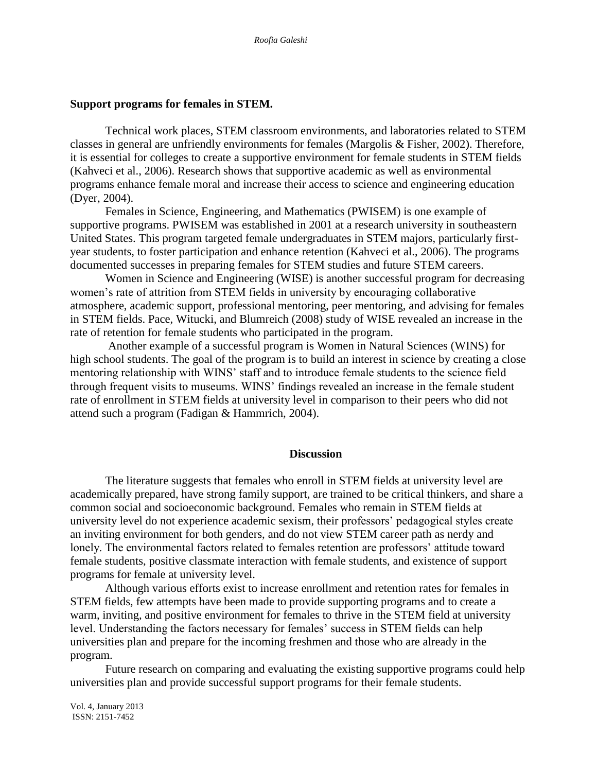### **Support programs for females in STEM.**

Technical work places, STEM classroom environments, and laboratories related to STEM classes in general are unfriendly environments for females (Margolis & Fisher, 2002). Therefore, it is essential for colleges to create a supportive environment for female students in STEM fields (Kahveci et al., 2006). Research shows that supportive academic as well as environmental programs enhance female moral and increase their access to science and engineering education (Dyer, 2004).

Females in Science, Engineering, and Mathematics (PWISEM) is one example of supportive programs. PWISEM was established in 2001 at a research university in southeastern United States. This program targeted female undergraduates in STEM majors, particularly firstyear students, to foster participation and enhance retention (Kahveci et al., 2006). The programs documented successes in preparing females for STEM studies and future STEM careers.

Women in Science and Engineering (WISE) is another successful program for decreasing women's rate of attrition from STEM fields in university by encouraging collaborative atmosphere, academic support, professional mentoring, peer mentoring, and advising for females in STEM fields. Pace, Witucki, and Blumreich (2008) study of WISE revealed an increase in the rate of retention for female students who participated in the program.

Another example of a successful program is Women in Natural Sciences (WINS) for high school students. The goal of the program is to build an interest in science by creating a close mentoring relationship with WINS' staff and to introduce female students to the science field through frequent visits to museums. WINS' findings revealed an increase in the female student rate of enrollment in STEM fields at university level in comparison to their peers who did not attend such a program (Fadigan & Hammrich, 2004).

#### **Discussion**

The literature suggests that females who enroll in STEM fields at university level are academically prepared, have strong family support, are trained to be critical thinkers, and share a common social and socioeconomic background. Females who remain in STEM fields at university level do not experience academic sexism, their professors' pedagogical styles create an inviting environment for both genders, and do not view STEM career path as nerdy and lonely. The environmental factors related to females retention are professors' attitude toward female students, positive classmate interaction with female students, and existence of support programs for female at university level.

Although various efforts exist to increase enrollment and retention rates for females in STEM fields, few attempts have been made to provide supporting programs and to create a warm, inviting, and positive environment for females to thrive in the STEM field at university level. Understanding the factors necessary for females' success in STEM fields can help universities plan and prepare for the incoming freshmen and those who are already in the program.

Future research on comparing and evaluating the existing supportive programs could help universities plan and provide successful support programs for their female students.

Vol. 4, January 2013 ISSN: 2151-7452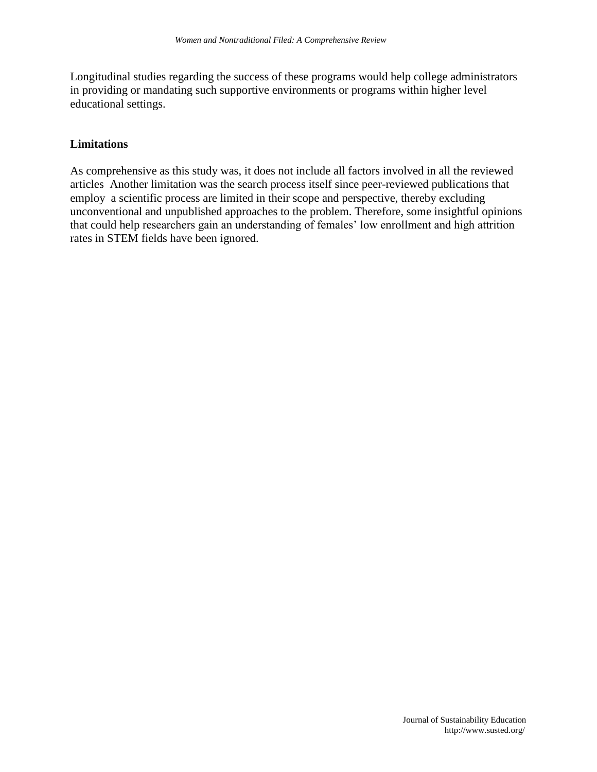Longitudinal studies regarding the success of these programs would help college administrators in providing or mandating such supportive environments or programs within higher level educational settings.

# **Limitations**

As comprehensive as this study was, it does not include all factors involved in all the reviewed articles Another limitation was the search process itself since peer-reviewed publications that employ a scientific process are limited in their scope and perspective, thereby excluding unconventional and unpublished approaches to the problem. Therefore, some insightful opinions that could help researchers gain an understanding of females' low enrollment and high attrition rates in STEM fields have been ignored.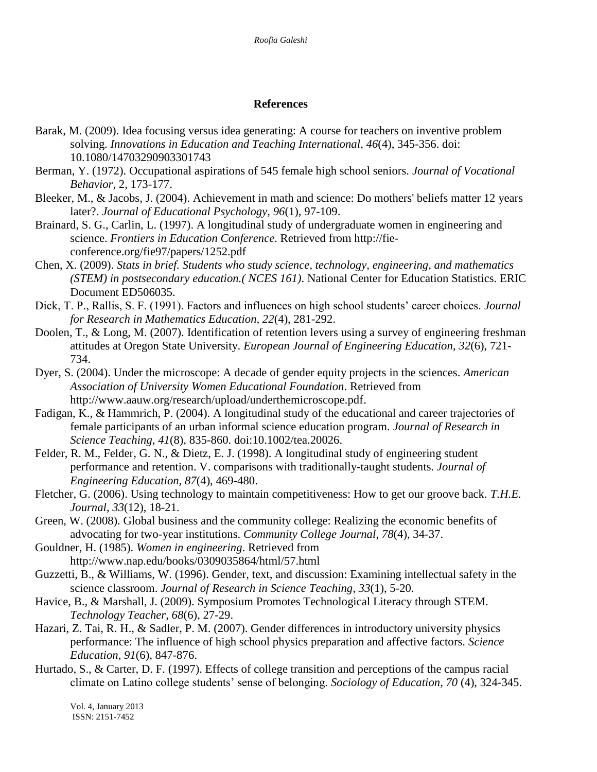## **References**

- Barak, M. (2009). Idea focusing versus idea generating: A course for teachers on inventive problem solving. *Innovations in Education and Teaching International*, *46*(4), 345-356. doi: 10.1080/14703290903301743
- Berman, Y. (1972). Occupational aspirations of 545 female high school seniors. *Journal of Vocational Behavior,* 2, 173-177.
- Bleeker, M., & Jacobs, J. (2004). Achievement in math and science: Do mothers' beliefs matter 12 years later?. *Journal of Educational Psychology*, *96*(1), 97-109.
- Brainard, S. G., Carlin, L. (1997). A longitudinal study of undergraduate women in engineering and science. *Frontiers in Education Conference*. Retrieved from http://fieconference.org/fie97/papers/1252.pdf
- Chen, X. (2009). *Stats in brief. Students who study science, technology, engineering, and mathematics (STEM) in postsecondary education.( NCES 161)*. National Center for Education Statistics. ERIC Document ED506035.
- Dick, T. P., Rallis, S. F. (1991). Factors and influences on high school students' career choices. *Journal for Research in Mathematics Education, 22*(4), 281-292.
- Doolen, T., & Long, M. (2007). Identification of retention levers using a survey of engineering freshman attitudes at Oregon State University. *European Journal of Engineering Education*, *32*(6), 721- 734.
- Dyer, S. (2004). Under the microscope: A decade of gender equity projects in the sciences. *American Association of University Women Educational Foundation*. Retrieved from http://www.aauw.org/research/upload/underthemicroscope.pdf.
- Fadigan, K., & Hammrich, P. (2004). A longitudinal study of the educational and career trajectories of female participants of an urban informal science education program. *Journal of Research in Science Teaching*, *41*(8), 835-860. doi:10.1002/tea.20026.
- Felder, R. M., Felder, G. N., & Dietz, E. J. (1998). A longitudinal study of engineering student performance and retention. V. comparisons with traditionally-taught students. *Journal of Engineering Education, 87*(4), 469-480.
- Fletcher, G. (2006). Using technology to maintain competitiveness: How to get our groove back. *T.H.E. Journal*, *33*(12), 18-21.
- Green, W. (2008). Global business and the community college: Realizing the economic benefits of advocating for two-year institutions. *Community College Journal*, *78*(4), 34-37.

Gouldner, H. (1985). *Women in engineering*. Retrieved from http://www.nap.edu/books/0309035864/html/57.html

- Guzzetti, B., & Williams, W. (1996). Gender, text, and discussion: Examining intellectual safety in the science classroom. *Journal of Research in Science Teaching*, *33*(1), 5-20.
- Havice, B., & Marshall, J. (2009). Symposium Promotes Technological Literacy through STEM. *Technology Teacher*, *68*(6), 27-29.
- Hazari, Z. Tai, R. H., & Sadler, P. M. (2007). Gender differences in introductory university physics performance: The influence of high school physics preparation and affective factors. *Science Education*, *91*(6), 847-876.
- Hurtado, S., & Carter, D. F. (1997). Effects of college transition and perceptions of the campus racial climate on Latino college students' sense of belonging. *Sociology of Education, 70* (4), 324-345.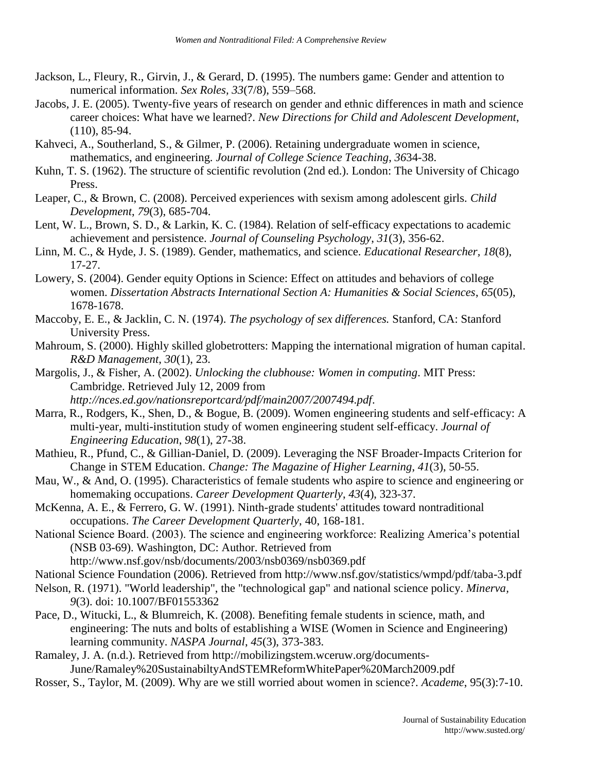- Jackson, L., Fleury, R., Girvin, J., & Gerard, D. (1995). The numbers game: Gender and attention to numerical information. *Sex Roles, 33*(7/8), 559–568.
- Jacobs, J. E. (2005). Twenty-five years of research on gender and ethnic differences in math and science career choices: What have we learned?. *New Directions for Child and Adolescent Development*, (110), 85-94.
- Kahveci, A., Southerland, S., & Gilmer, P. (2006). Retaining undergraduate women in science, mathematics, and engineering. *Journal of College Science Teaching*, *36*34-38.
- Kuhn, T. S. (1962). The structure of scientific revolution (2nd ed.). London: The University of Chicago Press.
- Leaper, C., & Brown, C. (2008). Perceived experiences with sexism among adolescent girls. *Child Development*, *79*(3), 685-704.
- Lent, W. L., Brown, S. D., & Larkin, K. C. (1984). Relation of self-efficacy expectations to academic achievement and persistence. *Journal of Counseling Psychology*, *31*(3), 356-62.
- Linn, M. C., & Hyde, J. S. (1989). Gender, mathematics, and science. *Educational Researcher, 18*(8), 17-27.
- Lowery, S. (2004). Gender equity Options in Science: Effect on attitudes and behaviors of college women. *Dissertation Abstracts International Section A: Humanities & Social Sciences*, *65*(05), 1678-1678.
- Maccoby, E. E., & Jacklin, C. N. (1974). *The psychology of sex differences.* Stanford, CA: Stanford University Press.
- Mahroum, S. (2000). Highly skilled globetrotters: Mapping the international migration of human capital. *R&D Management*, *30*(1), 23.
- Margolis, J., & Fisher, A. (2002). *Unlocking the clubhouse: Women in computing*. MIT Press: Cambridge. Retrieved July 12, 2009 from *http://nces.ed.gov/nationsreportcard/pdf/main2007/2007494.pdf*.
- Marra, R., Rodgers, K., Shen, D., & Bogue, B. (2009). Women engineering students and self-efficacy: A multi-year, multi-institution study of women engineering student self-efficacy. *Journal of Engineering Education*, *98*(1), 27-38.
- Mathieu, R., Pfund, C., & Gillian-Daniel, D. (2009). Leveraging the NSF Broader-Impacts Criterion for Change in STEM Education. *Change: The Magazine of Higher Learning*, *41*(3), 50-55.
- Mau, W., & And, O. (1995). Characteristics of female students who aspire to science and engineering or homemaking occupations. *Career Development Quarterly*, *43*(4), 323-37.
- McKenna, A. E., & Ferrero, G. W. (1991). Ninth-grade students' attitudes toward nontraditional occupations. *The Career Development Quarterly*, 40, 168-181.

National Science Board. (2003). The science and engineering workforce: Realizing America's potential (NSB 03-69). Washington, DC: Author. Retrieved from http://www.nsf.gov/nsb/documents/2003/nsb0369/nsb0369.pdf

- National Science Foundation (2006). Retrieved from http://www.nsf.gov/statistics/wmpd/pdf/taba-3.pdf
- Nelson, R. (1971). "World leadership", the "technological gap" and national science policy. *Minerva, 9*(3). doi: 10.1007/BF01553362
- Pace, D., Witucki, L., & Blumreich, K. (2008). Benefiting female students in science, math, and engineering: The nuts and bolts of establishing a WISE (Women in Science and Engineering) learning community. *NASPA Journal*, *45*(3), 373-383.
- Ramaley, J. A. (n.d.). Retrieved from http://mobilizingstem.wceruw.org/documents-June/Ramaley%20SustainabiltyAndSTEMReformWhitePaper%20March2009.pdf
- Rosser, S., Taylor, M. (2009). Why are we still worried about women in science?. *Academe*, 95(3):7-10.